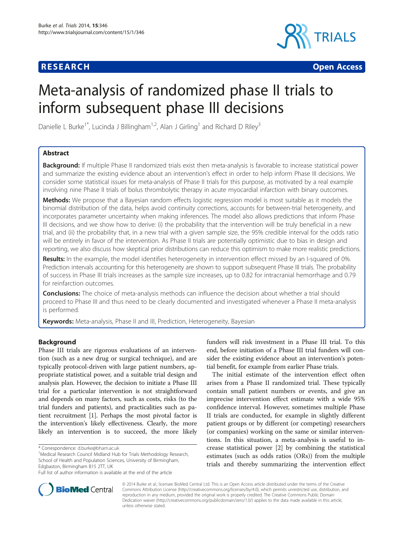# **RESEARCH CHINESE ARCH CHINESE ARCH CHINESE ARCH <b>CHINESE ARCH**



# Meta-analysis of randomized phase II trials to inform subsequent phase III decisions

Danielle L Burke<sup>1\*</sup>, Lucinda J Billingham<sup>1,2</sup>, Alan J Girling<sup>1</sup> and Richard D Riley<sup>3</sup>

# Abstract

Background: If multiple Phase II randomized trials exist then meta-analysis is favorable to increase statistical power and summarize the existing evidence about an intervention's effect in order to help inform Phase III decisions. We consider some statistical issues for meta-analysis of Phase II trials for this purpose, as motivated by a real example involving nine Phase II trials of bolus thrombolytic therapy in acute myocardial infarction with binary outcomes.

Methods: We propose that a Bayesian random effects logistic regression model is most suitable as it models the binomial distribution of the data, helps avoid continuity corrections, accounts for between-trial heterogeneity, and incorporates parameter uncertainty when making inferences. The model also allows predictions that inform Phase III decisions, and we show how to derive: (i) the probability that the intervention will be truly beneficial in a new trial, and (ii) the probability that, in a new trial with a given sample size, the 95% credible interval for the odds ratio will be entirely in favor of the intervention. As Phase II trials are potentially optimistic due to bias in design and reporting, we also discuss how skeptical prior distributions can reduce this optimism to make more realistic predictions.

Results: In the example, the model identifies heterogeneity in intervention effect missed by an I-squared of 0%. Prediction intervals accounting for this heterogeneity are shown to support subsequent Phase III trials. The probability of success in Phase III trials increases as the sample size increases, up to 0.82 for intracranial hemorrhage and 0.79 for reinfarction outcomes.

**Conclusions:** The choice of meta-analysis methods can influence the decision about whether a trial should proceed to Phase III and thus need to be clearly documented and investigated whenever a Phase II meta-analysis is performed.

Keywords: Meta-analysis, Phase II and III, Prediction, Heterogeneity, Bayesian

# Background

Phase III trials are rigorous evaluations of an intervention (such as a new drug or surgical technique), and are typically protocol-driven with large patient numbers, appropriate statistical power, and a suitable trial design and analysis plan. However, the decision to initiate a Phase III trial for a particular intervention is not straightforward and depends on many factors, such as costs, risks (to the trial funders and patients), and practicalities such as patient recruitment [\[1](#page-13-0)]. Perhaps the most pivotal factor is the intervention's likely effectiveness. Clearly, the more likely an intervention is to succeed, the more likely

<sup>1</sup>Medical Research Council Midland Hub for Trials Methodology Research, School of Health and Population Sciences, University of Birmingham, Edgbaston, Birmingham B15 2TT, UK

funders will risk investment in a Phase III trial. To this end, before initiation of a Phase III trial funders will consider the existing evidence about an intervention's potential benefit, for example from earlier Phase trials.

The initial estimate of the intervention effect often arises from a Phase II randomized trial. These typically contain small patient numbers or events, and give an imprecise intervention effect estimate with a wide 95% confidence interval. However, sometimes multiple Phase II trials are conducted, for example in slightly different patient groups or by different (or competing) researchers (or companies) working on the same or similar interventions. In this situation, a meta-analysis is useful to increase statistical power [\[2](#page-13-0)] by combining the statistical estimates (such as odds ratios (ORs)) from the multiple trials and thereby summarizing the intervention effect



© 2014 Burke et al.; licensee BioMed Central Ltd. This is an Open Access article distributed under the terms of the Creative Commons Attribution License [\(http://creativecommons.org/licenses/by/4.0\)](http://creativecommons.org/licenses/by/4.0), which permits unrestricted use, distribution, and reproduction in any medium, provided the original work is properly credited. The Creative Commons Public Domain Dedication waiver [\(http://creativecommons.org/publicdomain/zero/1.0/](http://creativecommons.org/publicdomain/zero/1.0/)) applies to the data made available in this article, unless otherwise stated.

<sup>\*</sup> Correspondence: [d.burke@bham.ac.uk](mailto:d.burke@bham.ac.uk) <sup>1</sup>

Full list of author information is available at the end of the article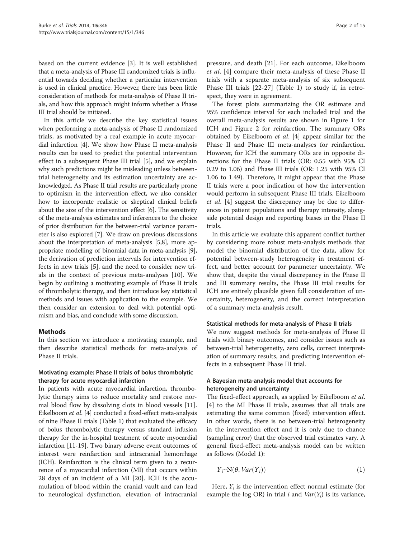<span id="page-1-0"></span>based on the current evidence [\[3\]](#page-13-0). It is well established that a meta-analysis of Phase III randomized trials is influential towards deciding whether a particular intervention is used in clinical practice. However, there has been little consideration of methods for meta-analysis of Phase II trials, and how this approach might inform whether a Phase III trial should be initiated.

In this article we describe the key statistical issues when performing a meta-analysis of Phase II randomized trials, as motivated by a real example in acute myocardial infarction [\[4](#page-13-0)]. We show how Phase II meta-analysis results can be used to predict the potential intervention effect in a subsequent Phase III trial [\[5](#page-13-0)], and we explain why such predictions might be misleading unless betweentrial heterogeneity and its estimation uncertainty are acknowledged. As Phase II trial results are particularly prone to optimism in the intervention effect, we also consider how to incorporate realistic or skeptical clinical beliefs about the size of the intervention effect [\[6\]](#page-13-0). The sensitivity of the meta-analysis estimates and inferences to the choice of prior distribution for the between-trial variance parameter is also explored [\[7\]](#page-13-0). We draw on previous discussions about the interpretation of meta-analysis [[5,8](#page-13-0)], more appropriate modelling of binomial data in meta-analysis [[9](#page-13-0)], the derivation of prediction intervals for intervention effects in new trials [[5\]](#page-13-0), and the need to consider new trials in the context of previous meta-analyses [\[10](#page-13-0)]. We begin by outlining a motivating example of Phase II trials of thrombolytic therapy, and then introduce key statistical methods and issues with application to the example. We then consider an extension to deal with potential optimism and bias, and conclude with some discussion.

# Methods

In this section we introduce a motivating example, and then describe statistical methods for meta-analysis of Phase II trials.

# Motivating example: Phase II trials of bolus thrombolytic therapy for acute myocardial infarction

In patients with acute myocardial infarction, thrombolytic therapy aims to reduce mortality and restore normal blood flow by dissolving clots in blood vessels [\[11](#page-13-0)]. Eikelboom et al. [\[4](#page-13-0)] conducted a fixed-effect meta-analysis of nine Phase II trials (Table [1](#page-2-0)) that evaluated the efficacy of bolus thrombolytic therapy versus standard infusion therapy for the in-hospital treatment of acute myocardial infarction [[11-19](#page-13-0)]. Two binary adverse event outcomes of interest were reinfarction and intracranial hemorrhage (ICH). Reinfarction is the clinical term given to a recurrence of a myocardial infarction (MI) that occurs within 28 days of an incident of a MI [[20\]](#page-13-0). ICH is the accumulation of blood within the cranial vault and can lead to neurological dysfunction, elevation of intracranial pressure, and death [[21\]](#page-13-0). For each outcome, Eikelboom et al. [[4](#page-13-0)] compare their meta-analysis of these Phase II trials with a separate meta-analysis of six subsequent Phase III trials [[22-](#page-13-0)[27\]](#page-14-0) (Table [1](#page-2-0)) to study if, in retrospect, they were in agreement.

The forest plots summarizing the OR estimate and 95% confidence interval for each included trial and the overall meta-analysis results are shown in Figure [1](#page-3-0) for ICH and Figure [2](#page-4-0) for reinfarction. The summary ORs obtained by Eikelboom et al. [\[4](#page-13-0)] appear similar for the Phase II and Phase III meta-analyses for reinfarction. However, for ICH the summary ORs are in opposite directions for the Phase II trials (OR: 0.55 with 95% CI 0.29 to 1.06) and Phase III trials (OR: 1.25 with 95% CI 1.06 to 1.49). Therefore, it might appear that the Phase II trials were a poor indication of how the intervention would perform in subsequent Phase III trials. Eikelboom et al. [\[4](#page-13-0)] suggest the discrepancy may be due to differences in patient populations and therapy intensity, alongside potential design and reporting biases in the Phase II trials.

In this article we evaluate this apparent conflict further by considering more robust meta-analysis methods that model the binomial distribution of the data, allow for potential between-study heterogeneity in treatment effect, and better account for parameter uncertainty. We show that, despite the visual discrepancy in the Phase II and III summary results, the Phase III trial results for ICH are entirely plausible given full consideration of uncertainty, heterogeneity, and the correct interpretation of a summary meta-analysis result.

# Statistical methods for meta-analysis of Phase II trials

We now suggest methods for meta-analysis of Phase II trials with binary outcomes, and consider issues such as between-trial heterogeneity, zero cells, correct interpretation of summary results, and predicting intervention effects in a subsequent Phase III trial.

# A Bayesian meta-analysis model that accounts for heterogeneity and uncertainty

The fixed-effect approach, as applied by Eikelboom et al. [[4\]](#page-13-0) to the MI Phase II trials, assumes that all trials are estimating the same common (fixed) intervention effect. In other words, there is no between-trial heterogeneity in the intervention effect and it is only due to chance (sampling error) that the observed trial estimates vary. A general fixed-effect meta-analysis model can be written as follows (Model 1):

$$
Y_i \sim N(\theta, Var(Y_i))
$$
\n(1)

Here,  $Y_i$  is the intervention effect normal estimate (for example the log OR) in trial i and  $Var(Y_i)$  is its variance,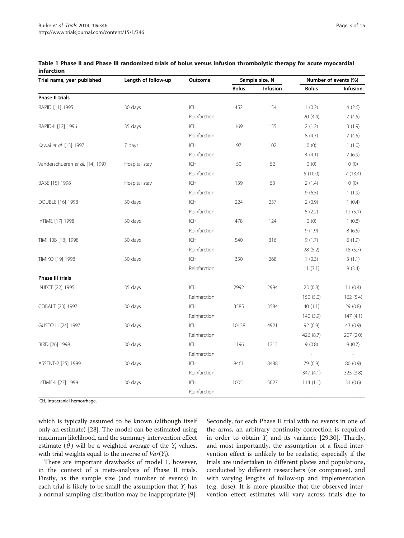| Trial name, year published      | Length of follow-up | Outcome      | Sample size, N |                 | Number of events (%)     |           |
|---------------------------------|---------------------|--------------|----------------|-----------------|--------------------------|-----------|
|                                 |                     |              | <b>Bolus</b>   | <b>Infusion</b> | <b>Bolus</b>             | Infusion  |
| <b>Phase II trials</b>          |                     |              |                |                 |                          |           |
| RAPID [11] 1995                 | 30 days             | ICH          | 452            | 154             | 1(0.2)                   | 4(2.6)    |
|                                 |                     | Reinfarction |                |                 | 20 (4.4)                 | 7(4.5)    |
| RAPID-II [12] 1996              | 35 days             | ICH          | 169            | 155             | 2(1.2)                   | 3(1.9)    |
|                                 |                     | Reinfarction |                |                 | 8(4.7)                   | 7(4.5)    |
| Kawai et al. [13] 1997          | 7 days              | <b>ICH</b>   | 97             | 102             | 0(0)                     | 1(1.0)    |
|                                 |                     | Reinfarction |                |                 | 4(4.1)                   | 7(6.9)    |
| Vanderschueren et al. [14] 1997 | Hospital stay       | <b>ICH</b>   | 50             | 52              | 0(0)                     | 0(0)      |
|                                 |                     | Reinfarction |                |                 | 5(10.0)                  | 7(13.4)   |
| BASE [15] 1998                  | Hospital stay       | <b>ICH</b>   | 139            | 53              | 2(1.4)                   | 0(0)      |
|                                 |                     | Reinfarction |                |                 | 9(6.5)                   | 1(1.9)    |
| DOUBLE [16] 1998                | 30 days             | <b>ICH</b>   | 224            | 237             | 2(0.9)                   | 1(0.4)    |
|                                 |                     | Reinfarction |                |                 | 5(2.2)                   | 12(5.1)   |
| InTIME [17] 1998                | 30 days             | <b>ICH</b>   | 478            | 124             | 0(0)                     | 1(0.8)    |
|                                 |                     | Reinfarction |                |                 | 9(1.9)                   | 8(6.5)    |
| TIMI 10B [18] 1998              | 30 days             | ICH          | 540            | 316             | 9(1.7)                   | 6(1.9)    |
|                                 |                     | Reinfarction |                |                 | 28 (5.2)                 | 18(5.7)   |
| TIMIKO [19] 1998                | 30 days             | <b>ICH</b>   | 350            | 268             | 1(0.3)                   | 3(1.1)    |
|                                 |                     | Reinfarction |                |                 | 11(3.1)                  | 9(3.4)    |
| <b>Phase III trials</b>         |                     |              |                |                 |                          |           |
| INJECT [22] 1995                | 35 days             | <b>ICH</b>   | 2992           | 2994            | 23(0.8)                  | 11(0.4)   |
|                                 |                     | Reinfarction |                |                 | 150 (5.0)                | 162 (5.4) |
| COBALT [23] 1997                | 30 days             | <b>ICH</b>   | 3585           | 3584            | 40(1.1)                  | 29 (0.8)  |
|                                 |                     | Reinfarction |                |                 | 140 (3.9)                | 147(4.1)  |
| GUSTO III [24] 1997             | 30 days             | <b>ICH</b>   | 10138          | 4921            | 92(0.9)                  | 43 (0.9)  |
|                                 |                     | Reinfarction |                |                 | 426 (8.7)                | 207 (2.0) |
| BIRD [26] 1998                  | 30 days             | <b>ICH</b>   | 1196           | 1212            | 9(0.8)                   | 9(0.7)    |
|                                 |                     | Reinfarction |                |                 |                          |           |
| ASSENT-2 [25] 1999              | 30 days             | ICH          | 8461           | 8488            | 79 (0.9)                 | 80(0.9)   |
|                                 |                     | Reinfarction |                |                 | 347 (4.1)                | 325 (3.8) |
| InTIME-II [27] 1999             | 30 days             | ICH          | 10051          | 5027            | 114(1.1)                 | 31(0.6)   |
|                                 |                     | Reinfarction |                |                 | $\overline{\phantom{a}}$ |           |

<span id="page-2-0"></span>Table 1 Phase II and Phase III randomized trials of bolus versus infusion thrombolytic therapy for acute myocardial infarction

ICH, intracranial hemorrhage.

which is typically assumed to be known (although itself only an estimate) [[28](#page-14-0)]. The model can be estimated using maximum likelihood, and the summary intervention effect estimate  $(\hat{\theta})$  will be a weighted average of the  $Y_i$  values, with trial weights equal to the inverse of  $Var(Y_i)$ .

There are important drawbacks of model 1, however, in the context of a meta-analysis of Phase II trials. Firstly, as the sample size (and number of events) in each trial is likely to be small the assumption that  $Y_i$  has a normal sampling distribution may be inappropriate [\[9](#page-13-0)]. Secondly, for each Phase II trial with no events in one of the arms, an arbitrary continuity correction is required in order to obtain  $Y_i$  and its variance [[29](#page-14-0),[30](#page-14-0)]. Thirdly, and most importantly, the assumption of a fixed intervention effect is unlikely to be realistic, especially if the trials are undertaken in different places and populations, conducted by different researchers (or companies), and with varying lengths of follow-up and implementation (e.g. dose). It is more plausible that the observed intervention effect estimates will vary across trials due to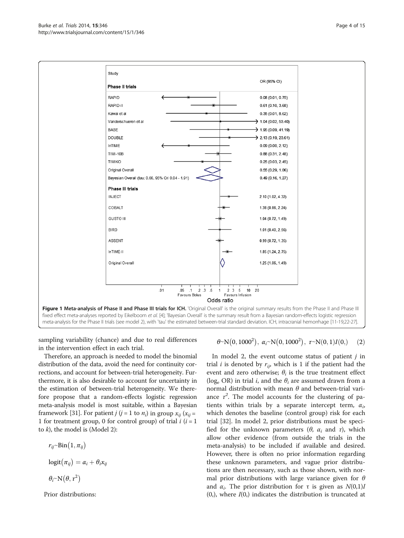<span id="page-3-0"></span>

sampling variability (chance) and due to real differences in the intervention effect in each trial.

Therefore, an approach is needed to model the binomial distribution of the data, avoid the need for continuity corrections, and account for between-trial heterogeneity. Furthermore, it is also desirable to account for uncertainty in the estimation of between-trial heterogeneity. We therefore propose that a random-effects logistic regression meta-analysis model is most suitable, within a Bayesian framework [[31](#page-14-0)]. For patient *j* (*j* = 1 to *n<sub>i</sub>*) in group  $x_{ii}$  ( $x_{ii}$  = 1 for treatment group, 0 for control group) of trial  $i$  ( $i = 1$ to  $k$ ), the model is (Model 2):

 $r_{ij}$ ~Bin $(1, \pi_{ij})$  $logit(\pi_{ij}) = \alpha_i + \theta_i x_{ij}$  $\theta_i \sim N(\theta, \tau^2)$ 

Prior distributions:

 $\theta \sim N(0, 1000^2), \ \alpha_i \sim N(0, 1000^2), \ \tau \sim N(0, 1)I(0,$  (2)

In model 2, the event outcome status of patient  $j$  in trial *i* is denoted by  $r_{ij}$ , which is 1 if the patient had the event and zero otherwise;  $\theta_i$  is the true treatment effect (log<sub>e</sub> OR) in trial *i*, and the  $\theta_i$  are assumed drawn from a normal distribution with mean  $θ$  and between-trial variance  $\tau^2$ . The model accounts for the clustering of patients within trials by a separate intercept term,  $\alpha_i$ , which denotes the baseline (control group) risk for each trial [[32\]](#page-14-0). In model 2, prior distributions must be specified for the unknown parameters ( $\theta$ ,  $\alpha_i$  and  $\tau$ ), which allow other evidence (from outside the trials in the meta-analysis) to be included if available and desired. However, there is often no prior information regarding these unknown parameters, and vague prior distributions are then necessary, such as those shown, with normal prior distributions with large variance given for  $\theta$ and  $\alpha_i$ . The prior distribution for  $\tau$  is given as  $N(0,1)I$  $(0,$ ), where  $I(0,)$  indicates the distribution is truncated at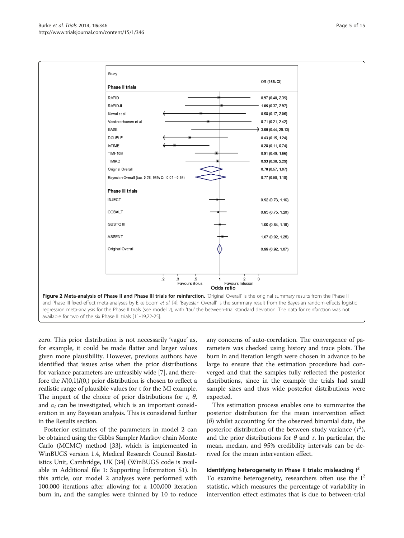<span id="page-4-0"></span>

zero. This prior distribution is not necessarily 'vague' as, for example, it could be made flatter and larger values given more plausibility. However, previous authors have identified that issues arise when the prior distributions for variance parameters are unfeasibly wide [\[7](#page-13-0)], and therefore the  $N(0,1)I(0)$ , prior distribution is chosen to reflect a realistic range of plausible values for τ for the MI example. The impact of the choice of prior distributions for  $\tau$ ,  $\theta$ , and  $\alpha_i$  can be investigated, which is an important consideration in any Bayesian analysis. This is considered further in the [Results](#page-6-0) section.

Posterior estimates of the parameters in model 2 can be obtained using the Gibbs Sampler Markov chain Monte Carlo (MCMC) method [\[33\]](#page-14-0), which is implemented in WinBUGS version 1.4, Medical Research Council Biostatistics Unit, Cambridge, UK [[34](#page-14-0)] (WinBUGS code is available in Additional file [1](#page-13-0): Supporting Information S1). In this article, our model 2 analyses were performed with 100,000 iterations after allowing for a 100,000 iteration burn in, and the samples were thinned by 10 to reduce

any concerns of auto-correlation. The convergence of parameters was checked using history and trace plots. The burn in and iteration length were chosen in advance to be large to ensure that the estimation procedure had converged and that the samples fully reflected the posterior distributions, since in the example the trials had small sample sizes and thus wide posterior distributions were expected.

This estimation process enables one to summarize the posterior distribution for the mean intervention effect  $(\theta)$  whilst accounting for the observed binomial data, the posterior distribution of the between-study variance  $(\tau^2)$ , and the prior distributions for  $\theta$  and  $\tau$ . In particular, the mean, median, and 95% credibility intervals can be derived for the mean intervention effect.

#### Identifying heterogeneity in Phase II trials: misleading  $I^2$

To examine heterogeneity, researchers often use the  $I^2$ statistic, which measures the percentage of variability in intervention effect estimates that is due to between-trial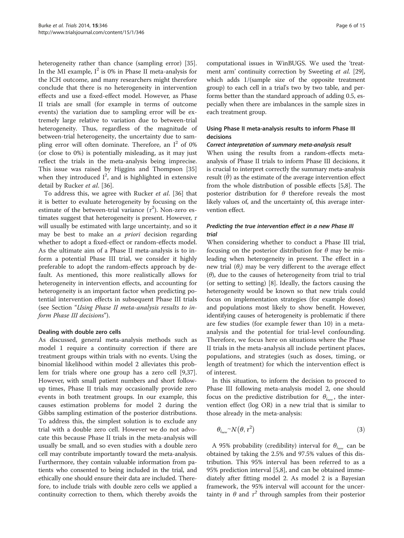<span id="page-5-0"></span>heterogeneity rather than chance (sampling error) [\[35](#page-14-0)]. In the MI example,  $I^2$  is 0% in Phase II meta-analysis for the ICH outcome, and many researchers might therefore conclude that there is no heterogeneity in intervention effects and use a fixed-effect model. However, as Phase II trials are small (for example in terms of outcome events) the variation due to sampling error will be extremely large relative to variation due to between-trial heterogeneity. Thus, regardless of the magnitude of between-trial heterogeneity, the uncertainty due to sampling error will often dominate. Therefore, an  $I^2$  of 0% (or close to 0%) is potentially misleading, as it may just reflect the trials in the meta-analysis being imprecise. This issue was raised by Higgins and Thompson [[35](#page-14-0)] when they introduced  $I^2$ , and is highlighted in extensive detail by Rucker et al. [[36](#page-14-0)].

To address this, we agree with Rucker et al. [[36\]](#page-14-0) that it is better to evaluate heterogeneity by focusing on the estimate of the between-trial variance  $(\tau^2)$ . Non-zero estimates suggest that heterogeneity is present. However,  $\tau$ will usually be estimated with large uncertainty, and so it may be best to make an *a priori* decision regarding whether to adopt a fixed-effect or random-effects model. As the ultimate aim of a Phase II meta-analysis is to inform a potential Phase III trial, we consider it highly preferable to adopt the random-effects approach by default. As mentioned, this more realistically allows for heterogeneity in intervention effects, and accounting for heterogeneity is an important factor when predicting potential intervention effects in subsequent Phase III trials (see Section "Using Phase II meta-analysis results to inform Phase III decisions").

#### Dealing with double zero cells

As discussed, general meta-analysis methods such as model 1 require a continuity correction if there are treatment groups within trials with no events. Using the binomial likelihood within model 2 alleviates this problem for trials where one group has a zero cell [\[9](#page-13-0)[,37](#page-14-0)]. However, with small patient numbers and short followup times, Phase II trials may occasionally provide zero events in both treatment groups. In our example, this causes estimation problems for model 2 during the Gibbs sampling estimation of the posterior distributions. To address this, the simplest solution is to exclude any trial with a double zero cell. However we do not advocate this because Phase II trials in the meta-analysis will usually be small, and so even studies with a double zero cell may contribute importantly toward the meta-analysis. Furthermore, they contain valuable information from patients who consented to being included in the trial, and ethically one should ensure their data are included. Therefore, to include trials with double zero cells we applied a continuity correction to them, which thereby avoids the

computational issues in WinBUGS. We used the 'treat-ment arm' continuity correction by Sweeting et al. [[29](#page-14-0)], which adds 1/(sample size of the opposite treatment group) to each cell in a trial's two by two table, and performs better than the standard approach of adding 0.5, especially when there are imbalances in the sample sizes in each treatment group.

# Using Phase II meta-analysis results to inform Phase III decisions

#### Correct interpretation of summary meta-analysis result

When using the results from a random-effects metaanalysis of Phase II trials to inform Phase III decisions, it is crucial to interpret correctly the summary meta-analysis result  $(\hat{\theta})$  as the estimate of the average intervention effect from the whole distribution of possible effects [\[5,8\]](#page-13-0). The posterior distribution for  $\theta$  therefore reveals the most likely values of, and the uncertainty of, this average intervention effect.

# Predicting the true intervention effect in a new Phase III trial

When considering whether to conduct a Phase III trial, focusing on the posterior distribution for  $\theta$  may be misleading when heterogeneity in present. The effect in a new trial  $(\theta_i)$  may be very different to the average effect  $(\theta)$ , due to the causes of heterogeneity from trial to trial (or setting to setting) [[8\]](#page-13-0). Ideally, the factors causing the heterogeneity would be known so that new trials could focus on implementation strategies (for example doses) and populations most likely to show benefit. However, identifying causes of heterogeneity is problematic if there are few studies (for example fewer than 10) in a metaanalysis and the potential for trial-level confounding. Therefore, we focus here on situations where the Phase II trials in the meta-analysis all include pertinent places, populations, and strategies (such as doses, timing, or length of treatment) for which the intervention effect is of interest.

In this situation, to inform the decision to proceed to Phase III following meta-analysis model 2, one should focus on the predictive distribution for  $\theta_{i_{new}}$ , the intervention effect (log OR) in a new trial that is similar to those already in the meta-analysis:

$$
\theta_{i_{new}} \sim N(\theta, \tau^2)
$$
 (3)

A 95% probability (credibility) interval for  $\theta_{i_{new}}$  can be obtained by taking the 2.5% and 97.5% values of this distribution. This 95% interval has been referred to as a 95% prediction interval [[5,8\]](#page-13-0), and can be obtained immediately after fitting model 2. As model 2 is a Bayesian framework, the 95% interval will account for the uncertainty in  $\theta$  and  $\tau^2$  through samples from their posterior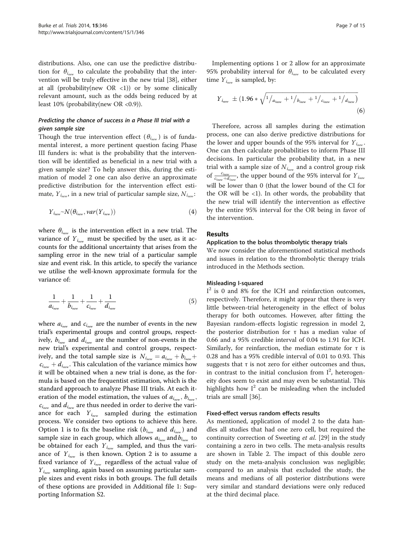<span id="page-6-0"></span>distributions. Also, one can use the predictive distribution for  $\theta_{i_{\text{max}}}$  to calculate the probability that the intervention will be truly effective in the new trial [[38\]](#page-14-0), either at all (probability(new OR <1)) or by some clinically relevant amount, such as the odds being reduced by at least  $10\%$  (probability(new OR < 0.9)).

# Predicting the chance of success in a Phase III trial with a given sample size

Though the true intervention effect ( $\theta_{i_{new}}$ ) is of fundamental interest, a more pertinent question facing Phase III funders is: what is the probability that the intervention will be identified as beneficial in a new trial with a given sample size? To help answer this, during the estimation of model 2 one can also derive an approximate predictive distribution for the intervention effect estimate,  $Y_{i_{new}}$ , in a new trial of particular sample size,  $N_{i_{new}}$ :

$$
Y_{i_{new}} \sim N(\theta_{i_{new}}, \text{var}(Y_{i_{new}}))
$$
\n<sup>(4)</sup>

where  $\theta_{i_{\text{max}}}$  is the intervention effect in a new trial. The variance of  $Y_{i_{new}}$  must be specified by the user, as it accounts for the additional uncertainty that arises from the sampling error in the new trial of a particular sample size and event risk. In this article, to specify the variance we utilise the well-known approximate formula for the variance of:

$$
\frac{1}{a_{i_{new}}} + \frac{1}{b_{i_{new}}} + \frac{1}{c_{i_{new}}} + \frac{1}{d_{i_{new}}}
$$
(5)

where  $a_{i_{new}}$  and  $c_{i_{new}}$  are the number of events in the new trial's experimental groups and control groups, respectively,  $b_{i_{new}}$  and  $d_{i_{new}}$  are the number of non-events in the new trial's experimental and control groups, respectively, and the total sample size is  $N_{i_{new}} = a_{i_{new}} + b_{i_{new}} + b_{i_{new}}$  $c_{i_{new}} + d_{i_{new}}$ . This calculation of the variance mimics how it will be obtained when a new trial is done, as the formula is based on the frequentist estimation, which is the standard approach to analyze Phase III trials. At each iteration of the model estimation, the values of  $a_{i_{new}}$ ,  $b_{i_{new}}$ ,  $c_{i_{new}}$  and  $d_{i_{new}}$  are thus needed in order to derive the variance for each  $Y_{i_{new}}$  sampled during the estimation process. We consider two options to achieve this here. Option 1 is to fix the baseline risk ( $b_{i_{new}}$  and  $d_{i_{new}}$ ) and sample size in each group, which allows  $a_{i_{new}}$  and  $b_{i_{new}}$  to be obtained for each  $Y_{i_{new}}$  sampled, and thus the variance of  $Y_{i_{new}}$  is then known. Option 2 is to assume a fixed variance of  $Y_{i_{new}}$  regardless of the actual value of  $Y_{i_{new}}$  sampling, again based on assuming particular sample sizes and event risks in both groups. The full details of these options are provided in Additional file [1](#page-13-0): Supporting Information S2.

Implementing options 1 or 2 allow for an approximate 95% probability interval for  $\theta_{i_{new}}$  to be calculated every time  $Y_{i_{new}}$  is sampled, by:

$$
Y_{i_{new}} \pm (1.96 * \sqrt{\frac{1}{a_{i_{new}}} + \frac{1}{b_{i_{new}}} + \frac{1}{c_{i_{new}}} + \frac{1}{a_{i_{new}}}})
$$
(6)

Therefore, across all samples during the estimation process, one can also derive predictive distributions for the lower and upper bounds of the 95% interval for  $Y_{i_{new}}$ . One can then calculate probabilities to inform Phase III decisions. In particular the probability that, in a new trial with a sample size of  $N_{i_{new}}$  and a control group risk of  $\frac{c_{i_{new}}}{c_{i_{new}}+d_{i_{new}}}$  , the upper bound of the 95% interval for  $Y_{i_{new}}$ will be lower than 0 (that the lower bound of the CI for the OR will be  $\langle 1 \rangle$ . In other words, the probability that the new trial will identify the intervention as effective by the entire 95% interval for the OR being in favor of the intervention.

#### Results

#### Application to the bolus thrombolytic therapy trials

We now consider the aforementioned statistical methods and issues in relation to the thrombolytic therapy trials introduced in the [Methods](#page-1-0) section.

#### Misleading I-squared

I <sup>2</sup> is 0 and 8% for the ICH and reinfarction outcomes, respectively. Therefore, it might appear that there is very little between-trial heterogeneity in the effect of bolus therapy for both outcomes. However, after fitting the Bayesian random-effects logistic regression in model 2, the posterior distribution for τ has a median value of 0.66 and a 95% credible interval of 0.04 to 1.91 for ICH. Similarly, for reinfarction, the median estimate for τ is 0.28 and has a 95% credible interval of 0.01 to 0.93. This suggests that  $\tau$  is not zero for either outcomes and thus, in contrast to the initial conclusion from  $I^2$ , heterogeneity does seem to exist and may even be substantial. This highlights how  $I^2$  can be misleading when the included trials are small [[36\]](#page-14-0).

#### Fixed-effect versus random effects results

As mentioned, application of model 2 to the data handles all studies that had one zero cell, but required the continuity correction of Sweeting et al. [\[29\]](#page-14-0) in the study containing a zero in two cells. The meta-analysis results are shown in Table [2.](#page-7-0) The impact of this double zero study on the meta-analysis conclusion was negligible; compared to an analysis that excluded the study, the means and medians of all posterior distributions were very similar and standard deviations were only reduced at the third decimal place.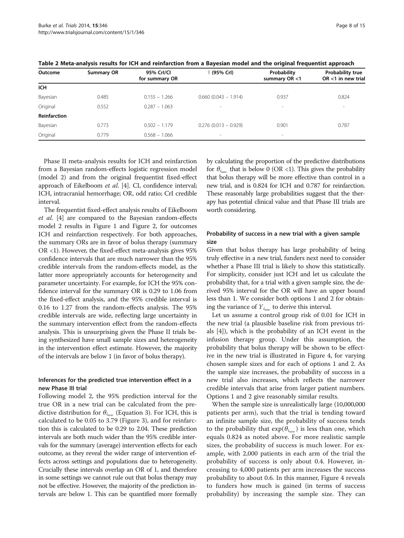| Outcome             | <b>Summary OR</b> | 95% Crl/Cl<br>for summary OR | t (95% Crl)             | Probability<br>summary OR <1 | <b>Probability true</b><br>OR <1 in new trial |
|---------------------|-------------------|------------------------------|-------------------------|------------------------------|-----------------------------------------------|
| <b>ICH</b>          |                   |                              |                         |                              |                                               |
| Bayesian            | 0.485             | $0.155 - 1.266$              | $0.660$ (0.043 - 1.914) | 0.937                        | 0.824                                         |
| Original            | 0.552             | $0.287 - 1.063$              |                         | $\overline{\phantom{a}}$     | $\overline{\phantom{a}}$                      |
| <b>Reinfarction</b> |                   |                              |                         |                              |                                               |
| Bayesian            | 0.773             | $0.502 - 1.179$              | $0.276(0.013 - 0.929)$  | 0.901                        | 0.787                                         |
| Original            | 0.779             | $0.568 - 1.066$              | $\sim$                  | $\sim$                       |                                               |

<span id="page-7-0"></span>Table 2 Meta-analysis results for ICH and reinfarction from a Bayesian model and the original frequentist approach

Phase II meta-analysis results for ICH and reinfarction from a Bayesian random-effects logistic regression model (model 2) and from the original frequentist fixed-effect approach of Eikelboom et al. [\[4](#page-13-0)]. CI, confidence interval; ICH, intracranial hemorrhage; OR, odd ratio; CrI credible interval.

The frequentist fixed-effect analysis results of Eikelboom et al. [\[4](#page-13-0)] are compared to the Bayesian random-effects model 2 results in Figure [1](#page-3-0) and Figure [2,](#page-4-0) for outcomes ICH and reinfarction respectively. For both approaches, the summary ORs are in favor of bolus therapy (summary OR <1). However, the fixed-effect meta-analysis gives 95% confidence intervals that are much narrower than the 95% credible intervals from the random-effects model, as the latter more appropriately accounts for heterogeneity and parameter uncertainty. For example, for ICH the 95% confidence interval for the summary OR is 0.29 to 1.06 from the fixed-effect analysis, and the 95% credible interval is 0.16 to 1.27 from the random-effects analysis. The 95% credible intervals are wide, reflecting large uncertainty in the summary intervention effect from the random-effects analysis. This is unsurprising given the Phase II trials being synthesized have small sample sizes and heterogeneity in the intervention effect estimate. However, the majority of the intervals are below 1 (in favor of bolus therapy).

# Inferences for the predicted true intervention effect in a new Phase III trial

Following model 2, the 95% prediction interval for the true OR in a new trial can be calculated from the predictive distribution for  $\theta_{i_{new}}$  (Equation [3\)](#page-5-0). For ICH, this is calculated to be 0.05 to 3.79 (Figure [3\)](#page-8-0), and for reinfarction this is calculated to be 0.29 to 2.04. These prediction intervals are both much wider than the 95% credible intervals for the summary (average) intervention effects for each outcome, as they reveal the wider range of intervention effects across settings and populations due to heterogeneity. Crucially these intervals overlap an OR of 1, and therefore in some settings we cannot rule out that bolus therapy may not be effective. However, the majority of the prediction intervals are below 1. This can be quantified more formally by calculating the proportion of the predictive distributions for  $\theta_{i_{\text{max}}}$  that is below 0 (OR <1). This gives the probability that bolus therapy will be more effective than control in a new trial, and is 0.824 for ICH and 0.787 for reinfarction. These reasonably large probabilities suggest that the therapy has potential clinical value and that Phase III trials are worth considering.

# Probability of success in a new trial with a given sample size

Given that bolus therapy has large probability of being truly effective in a new trial, funders next need to consider whether a Phase III trial is likely to show this statistically. For simplicity, consider just ICH and let us calculate the probability that, for a trial with a given sample size, the derived 95% interval for the OR will have an upper bound less than 1. We consider both options 1 and 2 for obtaining the variance of  $Y_{i_{new}}$  to derive this interval.

Let us assume a control group risk of 0.01 for ICH in the new trial (a plausible baseline risk from previous trials [\[4](#page-13-0)]), which is the probability of an ICH event in the infusion therapy group. Under this assumption, the probability that bolus therapy will be shown to be effective in the new trial is illustrated in Figure [4,](#page-8-0) for varying chosen sample sizes and for each of options 1 and 2. As the sample size increases, the probability of success in a new trial also increases, which reflects the narrower credible intervals that arise from larger patient numbers. Options 1 and 2 give reasonably similar results.

When the sample size is unrealistically large (10,000,000 patients per arm), such that the trial is tending toward an infinite sample size, the probability of success tends to the probability that  $exp(\theta_{i_{new}})$  is less than one, which equals 0.824 as noted above. For more realistic sample sizes, the probability of success is much lower. For example, with 2,000 patients in each arm of the trial the probability of success is only about 0.4. However, increasing to 4,000 patients per arm increases the success probability to about 0.6. In this manner, Figure [4](#page-8-0) reveals to funders how much is gained (in terms of success probability) by increasing the sample size. They can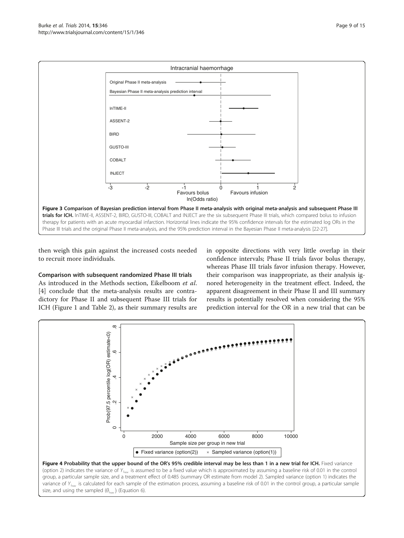<span id="page-8-0"></span>

then weigh this gain against the increased costs needed to recruit more individuals.

# Comparison with subsequent randomized Phase III trials

As introduced in the Methods section, Eikelboom et al. [[4\]](#page-13-0) conclude that the meta-analysis results are contradictory for Phase II and subsequent Phase III trials for ICH (Figure [1](#page-3-0) and Table [2](#page-7-0)), as their summary results are

in opposite directions with very little overlap in their confidence intervals; Phase II trials favor bolus therapy, whereas Phase III trials favor infusion therapy. However, their comparison was inappropriate, as their analysis ignored heterogeneity in the treatment effect. Indeed, the apparent disagreement in their Phase II and III summary results is potentially resolved when considering the 95% prediction interval for the OR in a new trial that can be



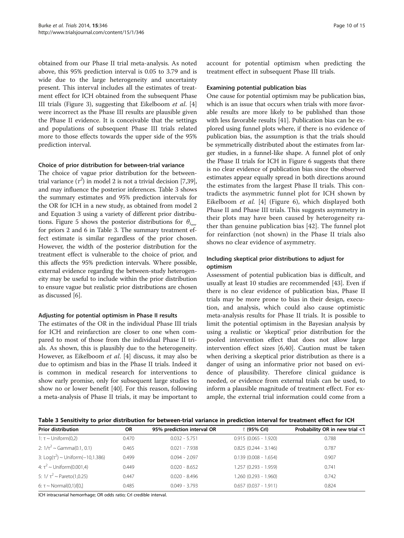obtained from our Phase II trial meta-analysis. As noted above, this 95% prediction interval is 0.05 to 3.79 and is wide due to the large heterogeneity and uncertainty present. This interval includes all the estimates of treatment effect for ICH obtained from the subsequent Phase III trials (Figure [3\)](#page-8-0), suggesting that Eikelboom *et al.* [\[4](#page-13-0)] were incorrect as the Phase III results are plausible given the Phase II evidence. It is conceivable that the settings and populations of subsequent Phase III trials related more to those effects towards the upper side of the 95% prediction interval.

#### Choice of prior distribution for between-trial variance

The choice of vague prior distribution for the betweentrial variance  $(\tau^2)$  in model 2 is not a trivial decision [[7,](#page-13-0)[39](#page-14-0)], and may influence the posterior inferences. Table 3 shows the summary estimates and 95% prediction intervals for the OR for ICH in a new study, as obtained from model 2 and Equation [3](#page-5-0) using a variety of different prior distribu-tions. Figure [5](#page-10-0) shows the posterior distributions for  $\theta_{i_{\text{max}}}$ for priors 2 and 6 in Table 3. The summary treatment effect estimate is similar regardless of the prior chosen. However, the width of the posterior distribution for the treatment effect is vulnerable to the choice of prior, and this affects the 95% prediction intervals. Where possible, external evidence regarding the between-study heterogeneity may be useful to include within the prior distribution to ensure vague but realistic prior distributions are chosen as discussed [[6](#page-13-0)].

# Adjusting for potential optimism in Phase II results

The estimates of the OR in the individual Phase III trials for ICH and reinfarction are closer to one when compared to most of those from the individual Phase II trials. As shown, this is plausibly due to the heterogeneity. However, as Eikelboom et al. [\[4](#page-13-0)] discuss, it may also be due to optimism and bias in the Phase II trials. Indeed it is common in medical research for interventions to show early promise, only for subsequent large studies to show no or lower benefit [[40\]](#page-14-0). For this reason, following a meta-analysis of Phase II trials, it may be important to account for potential optimism when predicting the treatment effect in subsequent Phase III trials.

#### Examining potential publication bias

One cause for potential optimism may be publication bias, which is an issue that occurs when trials with more favorable results are more likely to be published than those with less favorable results [\[41\]](#page-14-0). Publication bias can be explored using funnel plots where, if there is no evidence of publication bias, the assumption is that the trials should be symmetrically distributed about the estimates from larger studies, in a funnel-like shape. A funnel plot of only the Phase II trials for ICH in Figure [6](#page-10-0) suggests that there is no clear evidence of publication bias since the observed estimates appear equally spread in both directions around the estimates from the largest Phase II trials. This contradicts the asymmetric funnel plot for ICH shown by Eikelboom et al. [\[4](#page-13-0)] (Figure [6\)](#page-10-0), which displayed both Phase II and Phase III trials. This suggests asymmetry in their plots may have been caused by heterogeneity rather than genuine publication bias [[42\]](#page-14-0). The funnel plot for reinfarction (not shown) in the Phase II trials also shows no clear evidence of asymmetry.

# Including skeptical prior distributions to adjust for optimism

Assessment of potential publication bias is difficult, and usually at least 10 studies are recommended [\[43](#page-14-0)]. Even if there is no clear evidence of publication bias, Phase II trials may be more prone to bias in their design, execution, and analysis, which could also cause optimistic meta-analysis results for Phase II trials. It is possible to limit the potential optimism in the Bayesian analysis by using a realistic or 'skeptical' prior distribution for the pooled intervention effect that does not allow large intervention effect sizes [\[6](#page-13-0)[,40\]](#page-14-0). Caution must be taken when deriving a skeptical prior distribution as there is a danger of using an informative prior not based on evidence of plausibility. Therefore clinical guidance is needed, or evidence from external trials can be used, to inform a plausible magnitude of treatment effect. For example, the external trial information could come from a

Table 3 Sensitivity to prior distribution for between-trial variance in prediction interval for treatment effect for ICH

| <b>Prior distribution</b>               | <b>OR</b> | 95% prediction interval OR | î (95% Crl)             | Probability OR in new trial <1 |
|-----------------------------------------|-----------|----------------------------|-------------------------|--------------------------------|
| $1: \tau \sim$ Uniform(0,2)             | 0.470     | $0.032 - 5.751$            | $0.915(0.065 - 1.920)$  | 0.788                          |
| 2: $1/\tau^2 \sim$ Gamma(0.1, 0.1)      | 0.465     | $0.021 - 7.938$            | $0.825(0.244 - 3.146)$  | 0.787                          |
| 3: Log( $\tau^2$ ) ~ Uniform(-10,1.386) | 0.499     | $0.094 - 2.097$            | $0.139(0.008 - 1.654)$  | 0.907                          |
| 4: $\tau^2$ ~ Uniform(0.001,4)          | 0.449     | $0.020 - 8.652$            | 1.257 (0.293 - 1.959)   | 0.741                          |
| 5: $1/\tau^2 \sim$ Pareto(1,0.25)       | 0.447     | $0.020 - 8.496$            | 1.260 (0.293 - 1.960)   | 0.742                          |
| 6: $\tau \sim \text{Normal}(0,1)/[0]$   | 0.485     | $0.049 - 3.793$            | $0.657$ (0.037 - 1.911) | 0.824                          |

ICH intracranial hemorrhage; OR odds ratio; CrI credible interval.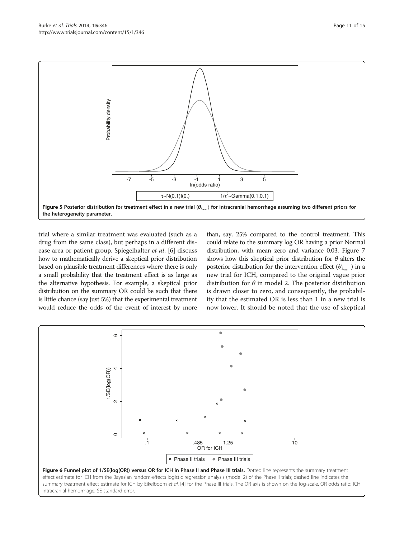<span id="page-10-0"></span>

trial where a similar treatment was evaluated (such as a drug from the same class), but perhaps in a different disease area or patient group. Spiegelhalter et al. [[6\]](#page-13-0) discuss how to mathematically derive a skeptical prior distribution based on plausible treatment differences where there is only a small probability that the treatment effect is as large as the alternative hypothesis. For example, a skeptical prior distribution on the summary OR could be such that there is little chance (say just 5%) that the experimental treatment would reduce the odds of the event of interest by more

than, say, 25% compared to the control treatment. This could relate to the summary log OR having a prior Normal distribution, with mean zero and variance 0.03. Figure [7](#page-11-0) shows how this skeptical prior distribution for  $\theta$  alters the posterior distribution for the intervention effect  $(\theta_{i_{\text{max}}})$  in a new trial for ICH, compared to the original vague prior distribution for  $\theta$  in model 2. The posterior distribution is drawn closer to zero, and consequently, the probability that the estimated OR is less than 1 in a new trial is now lower. It should be noted that the use of skeptical

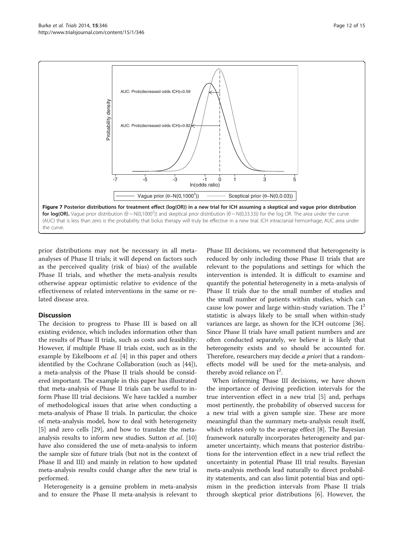<span id="page-11-0"></span>

prior distributions may not be necessary in all metaanalyses of Phase II trials; it will depend on factors such as the perceived quality (risk of bias) of the available Phase II trials, and whether the meta-analysis results otherwise appear optimistic relative to evidence of the effectiveness of related interventions in the same or related disease area.

# **Discussion**

The decision to progress to Phase III is based on all existing evidence, which includes information other than the results of Phase II trials, such as costs and feasibility. However, if multiple Phase II trials exist, such as in the example by Eikelboom *et al.* [\[4](#page-13-0)] in this paper and others identified by the Cochrane Collaboration (such as [\[44](#page-14-0)]), a meta-analysis of the Phase II trials should be considered important. The example in this paper has illustrated that meta-analysis of Phase II trials can be useful to inform Phase III trial decisions. We have tackled a number of methodological issues that arise when conducting a meta-analysis of Phase II trials. In particular, the choice of meta-analysis model, how to deal with heterogeneity [[5\]](#page-13-0) and zero cells [\[29\]](#page-14-0), and how to translate the metaanalysis results to inform new studies. Sutton et al. [[10](#page-13-0)] have also considered the use of meta-analysis to inform the sample size of future trials (but not in the context of Phase II and III) and mainly in relation to how updated meta-analysis results could change after the new trial is performed.

Heterogeneity is a genuine problem in meta-analysis and to ensure the Phase II meta-analysis is relevant to

Phase III decisions, we recommend that heterogeneity is reduced by only including those Phase II trials that are relevant to the populations and settings for which the intervention is intended. It is difficult to examine and quantify the potential heterogeneity in a meta-analysis of Phase II trials due to the small number of studies and the small number of patients within studies, which can cause low power and large within-study variation. The  $I^2$ statistic is always likely to be small when within-study variances are large, as shown for the ICH outcome [\[36](#page-14-0)]. Since Phase II trials have small patient numbers and are often conducted separately, we believe it is likely that heterogeneity exists and so should be accounted for. Therefore, researchers may decide *a priori* that a randomeffects model will be used for the meta-analysis, and thereby avoid reliance on  $I^2$ .

When informing Phase III decisions, we have shown the importance of deriving prediction intervals for the true intervention effect in a new trial [[5\]](#page-13-0) and, perhaps most pertinently, the probability of observed success for a new trial with a given sample size. These are more meaningful than the summary meta-analysis result itself, which relates only to the average effect [[8\]](#page-13-0). The Bayesian framework naturally incorporates heterogeneity and parameter uncertainty, which means that posterior distributions for the intervention effect in a new trial reflect the uncertainty in potential Phase III trial results. Bayesian meta-analysis methods lead naturally to direct probability statements, and can also limit potential bias and optimism in the prediction intervals from Phase II trials through skeptical prior distributions [\[6](#page-13-0)]. However, the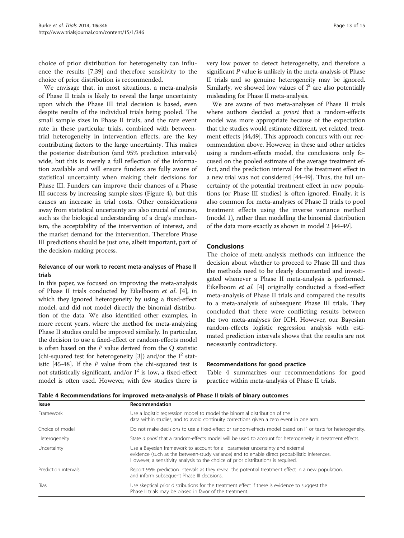choice of prior distribution for heterogeneity can influence the results [[7,](#page-13-0)[39\]](#page-14-0) and therefore sensitivity to the choice of prior distribution is recommended.

We envisage that, in most situations, a meta-analysis of Phase II trials is likely to reveal the large uncertainty upon which the Phase III trial decision is based, even despite results of the individual trials being pooled. The small sample sizes in Phase II trials, and the rare event rate in these particular trials, combined with betweentrial heterogeneity in intervention effects, are the key contributing factors to the large uncertainty. This makes the posterior distribution (and 95% prediction intervals) wide, but this is merely a full reflection of the information available and will ensure funders are fully aware of statistical uncertainty when making their decisions for Phase III. Funders can improve their chances of a Phase III success by increasing sample sizes (Figure [4\)](#page-8-0), but this causes an increase in trial costs. Other considerations away from statistical uncertainty are also crucial of course, such as the biological understanding of a drug's mechanism, the acceptability of the intervention of interest, and the market demand for the intervention. Therefore Phase III predictions should be just one, albeit important, part of the decision-making process.

# Relevance of our work to recent meta-analyses of Phase II trials

In this paper, we focused on improving the meta-analysis of Phase II trials conducted by Eikelboom et al. [\[4](#page-13-0)], in which they ignored heterogeneity by using a fixed-effect model, and did not model directly the binomial distribution of the data. We also identified other examples, in more recent years, where the method for meta-analyzing Phase II studies could be improved similarly. In particular, the decision to use a fixed-effect or random-effects model is often based on the  $P$  value derived from the  $O$  statistic (chi-squared test for heterogeneity [\[3](#page-13-0)]) and/or the  $I^2$  statistic [\[45-48\]](#page-14-0). If the P value from the chi-squared test is not statistically significant, and/or  $I^2$  is low, a fixed-effect model is often used. However, with few studies there is very low power to detect heterogeneity, and therefore a significant  $P$  value is unlikely in the meta-analysis of Phase II trials and so genuine heterogeneity may be ignored. Similarly, we showed low values of  $I^2$  are also potentially misleading for Phase II meta-analysis.

We are aware of two meta-analyses of Phase II trials where authors decided *a priori* that a random-effects model was more appropriate because of the expectation that the studies would estimate different, yet related, treatment effects [\[44,49\]](#page-14-0). This approach concurs with our recommendation above. However, in these and other articles using a random-effects model, the conclusions only focused on the pooled estimate of the average treatment effect, and the prediction interval for the treatment effect in a new trial was not considered [\[44-49](#page-14-0)]. Thus, the full uncertainty of the potential treatment effect in new populations (or Phase III studies) is often ignored. Finally, it is also common for meta-analyses of Phase II trials to pool treatment effects using the inverse variance method (model 1), rather than modelling the binomial distribution of the data more exactly as shown in model 2 [[44](#page-14-0)-[49\]](#page-14-0).

# Conclusions

The choice of meta-analysis methods can influence the decision about whether to proceed to Phase III and thus the methods need to be clearly documented and investigated whenever a Phase II meta-analysis is performed. Eikelboom et al. [\[4](#page-13-0)] originally conducted a fixed-effect meta-analysis of Phase II trials and compared the results to a meta-analysis of subsequent Phase III trials. They concluded that there were conflicting results between the two meta-analyses for ICH. However, our Bayesian random-effects logistic regression analysis with estimated prediction intervals shows that the results are not necessarily contradictory.

#### Recommendations for good practice

Table 4 summarizes our recommendations for good practice within meta-analysis of Phase II trials.

Table 4 Recommendations for improved meta-analysis of Phase II trials of binary outcomes

| Issue                | Recommendation                                                                                                                                                                                                                                                      |  |  |  |  |
|----------------------|---------------------------------------------------------------------------------------------------------------------------------------------------------------------------------------------------------------------------------------------------------------------|--|--|--|--|
| Framework            | Use a logistic regression model to model the binomial distribution of the<br>data within studies, and to avoid continuity corrections given a zero event in one arm.                                                                                                |  |  |  |  |
| Choice of model      | Do not make decisions to use a fixed-effect or random-effects model based on $I^2$ or tests for heterogeneity.                                                                                                                                                      |  |  |  |  |
| Heterogeneity        | State a priori that a random-effects model will be used to account for heterogeneity in treatment effects.                                                                                                                                                          |  |  |  |  |
| Uncertainty          | Use a Bayesian framework to account for all parameter uncertainty and external<br>evidence (such as the between-study variance) and to enable direct probabilistic inferences.<br>However, a sensitivity analysis to the choice of prior distributions is required. |  |  |  |  |
| Prediction intervals | Report 95% prediction intervals as they reveal the potential treatment effect in a new population,<br>and inform subsequent Phase III decisions.                                                                                                                    |  |  |  |  |
| <b>Bias</b>          | Use skeptical prior distributions for the treatment effect if there is evidence to suggest the<br>Phase II trials may be biased in favor of the treatment.                                                                                                          |  |  |  |  |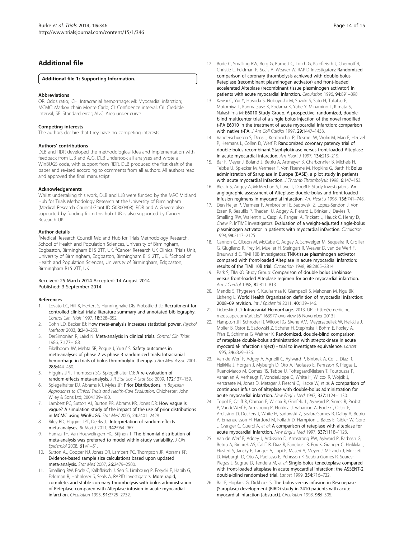# <span id="page-13-0"></span>Additional file

#### [Additional file 1:](http://www.biomedcentral.com/content/supplementary/1745-6215-15-346-S1.docx) Supporting Information.

#### Abbreviations

OR: Odds ratio; ICH: Intracranial hemorrhage; MI: Myocardial infarction; MCMC: Markov chain Monte Carlo; CI: Confidence interval; CrI: Credible interval; SE: Standard error; AUC: Area under curve.

#### Competing interests

The authors declare that they have no competing interests.

#### Authors' contributions

DLB and RDR developed the methodological idea and implementation with feedback from LJB and AJG. DLB undertook all analyses and wrote all WinBUGS code, with support from RDR. DLB produced the first draft of the paper and revised according to comments from all authors. All authors read and approved the final manuscript.

#### Acknowledgements

Whilst undertaking this work, DLB and LJB were funded by the MRC Midland Hub for Trials Methodology Research at the University of Birmingham (Medical Research Council Grant ID G0800808). RDR and AJG were also supported by funding from this hub. LJB is also supported by Cancer Research UK.

#### Author details

<sup>1</sup>Medical Research Council Midland Hub for Trials Methodology Research, School of Health and Population Sciences, University of Birmingham, Edgbaston, Birmingham B15 2TT, UK. <sup>2</sup>Cancer Research UK Clinical Trials Unit, University of Birmingham, Edgbaston, Birmingham B15 2TT, UK. <sup>3</sup>School of Health and Population Sciences, University of Birmingham, Edgbaston, Birmingham B15 2TT, UK.

#### Received: 25 March 2014 Accepted: 14 August 2014 Published: 3 September 2014

#### References

- 1. Lovato LC, Hill K, Hertert S, Hunninghake DB, Probstfield JL: Recruitment for controlled clinical trials: literature summary and annotated bibliography. Control Clin Trials 1997, 18:328–352.
- 2. Cohn LD, Becker BJ: How meta-analysis increases statistical power. Psychol Methods 2003, 8:243–253.
- 3. DerSimonian R, Laird N: Meta-analysis in clinical trials. Control Clin Trials 1986, 7:177–188.
- 4. Eikelboom JW, Mehta SR, Pogue J, Yusuf S: Safety outcomes in meta-analyses of phase 2 vs phase 3 randomized trials: Intracranial hemorrhage in trials of bolus thrombolytic therapy. J Am Med Assoc 2001, 285:444–450.
- 5. Higgins JPT, Thompson SG, Spiegelhalter DJ: A re-evaluation of random-effects meta-analysis. J R Stat Soc A Stat Soc 2009, 172:137–159.
- 6. Spiegelhalter DJ, Abrams KR, Myles JP: Prior Distributions. In Bayesian Approaches to Clinical Trials and Health-Care Evaluation. Chichester: John Wiley & Sons Ltd; 2004:139–180.
- 7. Lambert PC, Sutton AJ, Burton PR, Abrams KR, Jones DR: How vague is vague? A simulation study of the impact of the use of prior distributions in MCMC using WinBUGS. Stat Med 2005, 24:2401–2428.
- 8. Riley RD, Higgins JPT, Deeks JJ: Interpretation of random effects meta-analyses. Br Med J 2011, 342:964-967.
- Hamza TH, Van Houwelingen HC, Stijnen T: The binomial distribution of meta-analysis was preferred to model within-study variability. J Clin Epidemiol 2008, 61:41–51.
- 10. Sutton AJ, Cooper NJ, Jones DR, Lambert PC, Thompson JR, Abrams KR: Evidence-based sample size calculations based upon updated meta-analysis. Stat Med 2007, 26:2479–2500.
- 11. Smalling RW, Bode C, Kalbfleisch J, Sen S, Limbourg P, Forycki F, Habib G, Feldman R, Hohnloser S, Seals A, RAPID Investigators: More rapid, complete, and stable coronary thrombolysis with bolus administration of Reteplase compared with Alteplase infusion in acute myocardial infarction. Circulation 1995, 91:2725–2732.
- 12. Bode C, Smalling RW, Berg G, Burnett C, Lorch G, Kalbfleisch J, Chernoff R, Christie L, Feldman R, Seals A, Weaver W, RAPID Investigators: Randomized comparison of coronary thrombolysis achieved with double-bolus Reteplase (recombinant plasminogen activator) and front-loaded, accelerated Alteplase (recombinant tissue plasminogen activator) in patients with acute myocardial infarction. Circulation 1996, 94:891–898.
- 13. Kawai C, Yui Y, Hosoda S, Nobuyoshi M, Suzuki S, Sato H, Takatsu F, Motomiya T, Kanmatsuse K, Kodama K, Yabe Y, Minamino T, Kimata S, Nakashima M: E6010 Study Group. A prospective, randomized, doubleblind multicenter trial of a single bolus injection of the novel modified t-PA E6010 in the treatment of acute myocardial infarction: comparison with native t-PA. J Am Coll Cardiol 1997, 29:1447–1453.
- 14. Vanderschueren S, Dens J, Kerdsinchai P, Desmet W, Vrolix M, Man F, Heuvel P, Hermans L, Collen D, Werf F: Randomized coronary patency trial of double-bolus recombinant Staphylokinase versus front-loaded Alteplase in acute myocardial infarction. Am Heart J 1997, 134:213–219.
- 15. Bar F, Meyer J, Boland J, Betriu A, Artmeyer B, Charbonnier B, Michels H, Tebbe U, Spiecker M, Vermeer F, Von Fisenne M, Hopkins G, Barth H: Bolus administration of Saruplase in Europe (BASE), a pilot study in patients with acute myocardial infarction. J Thromb Thrombolysis 1998, 6:147-153.
- 16. Bleich S, Adgey A, McMechan S, Love T, DouBLE Study Investigators: An angiographic assessment of Alteplase: double-bolus and front-loaded infusion regimens in myocardial infarction. Am Heart J 1998, 136:741-748.
- 17. Den Heijer P, Vermeer F, Ambrosioni E, Sadowski Z, Lopez-Sendon J, Von Essen R, Beaufils P, Thadani U, Adgey A, Pierard L, Brinker J, Davies R, Smalling RW, Wallentin L, Caspi A, Pangerl A, Trickett L, Hauck C, Henry D, Chew P, lnTIME Investigators: Evaluation of a weight-adjusted single-bolus plasminogen activator in patients with myocardial infarction. Circulation .<br>1998. **98:**2117–2125.
- 18. Cannon C, Gibson M, McCabe C, Adgey A, Schweiger M, Sequeira R, Grollier G, Giugliano R, Frey M, Mueller H, Steingart R, Weaver D, van de Werf F, Braunwald E, TIMI 10B Investigators: TNK-tissue plasminogen activator compared with front-loaded Alteplase in acute myocardial infarction: results of the TIMI 10B trial. Circulation 1998, 98:2805–2814.
- 19. Park S, TIMIKO Study Group: Comparison of double bolus Urokinase versus front-loaded Alteplase regimen for acute myocardial infarction. Am J Cardiol 1998, 82:811–813.
- 20. Mendis S, Thygesen K, Kuulasmaa K, Giampaoli S, Mahonen M, Ngu BK, Lisheng L: World Health Organization definition of myocardial infarction: 2008–09 revision. Int J Epidemiol 2011, 40:139–146.
- 21. Liebeskind D: Intracranial Hemorrhage. 2013, URL: [http://emedicine.](http://emedicine.medscape.com/article/1163977-overview) [medscape.com/article/1163977-overview](http://emedicine.medscape.com/article/1163977-overview) [6 November 2013]
- 22. Hampton JR, Schroder R, Wilcox RG, Skene AM, Meyersabellek W, Heikkila J, Moller B, Ostor E, Sadowski Z, Schafer H, Stepinska I, Bohm E, Foxley A, Pfarr E, Schirmer G, Walther K: Randomized, double-blind comparison of reteplase double-bolus administration with streptokinase in acute myocardial-infarction (inject) - trial to investigate equivalence. Lancet 1995, 346:329–336.
- 23. Van de Werf F, Adgey A, Agnelli G, Aylward P, Binbrek A, Col J, Diaz R, Heikkila J, Horgan J, Myburgh D, Oto A, Paolasso E, Pehrsson K, Piegas L, RuanoMarco M, Gomes RS, Tebbe U, ToftegaardNielsen T, Toutouzas P, Vahanian A, Verheugt F, VonderLippe G, White H, Wilcox R, Wojcik J, Verstraete M, Jones D, Metzger J, Fieschi C, Hacke W, et al: A comparison of continuous infusion of alteplase with double-bolus administration for acute myocardial infarction. New Engl J Med 1997, 337:1124–1130.
- 24. Topol E, Califf R, Ohman E, Wilcox R, Grinfeld L, Aylward P, Simes R, Probst P, VandeWerf F, Armstrong P, Heikkila J, Vahanian A, Bode C, Ostor E, Ardissino D, Deckers J, White H, Sadowski Z, SeabraGomes R, Dalby A, Betriu A, Emanuelsson H, Hartford M, Follath D, Hampton J, Bates E, Gibler W, Gore J, Granger C, Guerci A, et al: A comparison of reteplase with alteplase for acute myocardial infarction. New Engl J Med 1997, 337:1118–1123.
- 25. Van de Werf F, Adgey J, Ardissino D, Armstrong PW, Aylward P, Barbash G, Betriu A, Binbrek AS, Califf R, Diaz R, Fanebust R, Fox K, Granger C, Heikkila J, Husted S, Jansky P, Langer A, Lupi E, Maseri A, Meyer J, Mlczoch J, Mocceti D, Myburgh D, Oto A, Paolasso E, Pehrsson K, Seabra-Gomes R, Soares-Piegas L, Sugrue D, Tendera M, et al: Single-bolus tenecteplase compared with front-loaded alteplase in acute myocardial infarction: the ASSENT-2 double-blind randomised trial. Lancet 1999, 354:716–722.
- 26. Bar F, Hopkins G, Dickhoet S: The bolus versus infusion in Rescuepase (Saruplase) development (BIRD) study in 2410 patients with acute myocardial infarction [abstract]. Circulation 1998, 98:I-505.